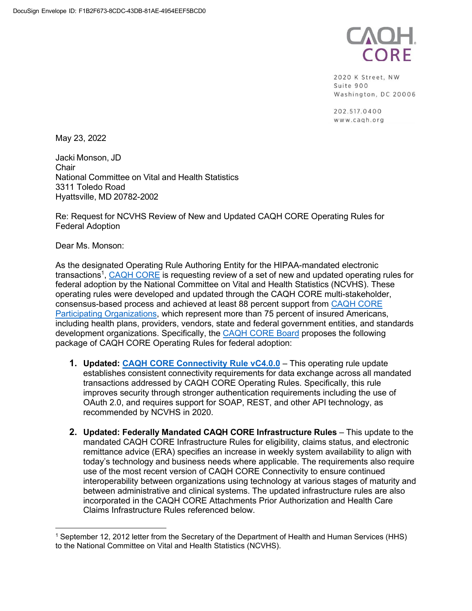

2020 K Street, NW Suite 900 Washington, DC 20006

202.517.0400 www.cagh.org

May 23, 2022

Jacki Monson, JD **Chair** National Committee on Vital and Health Statistics 3311 Toledo Road Hyattsville, MD 20782-2002

Re: Request for NCVHS Review of New and Updated CAQH CORE Operating Rules for Federal Adoption

Dear Ms. Monson:

As the designated Operating Rule Authoring Entity for the HIPAA-mandated electronic transactions<sup>1</sup>, <u>CAQH CORE</u> is requesting review of a set of new and updated operating rules for federal adoption by the National Committee on Vital and Health Statistics (NCVHS). These operating rules were developed and updated through the CAQH CORE multi-stakeholder, consensus-based process and achieved at least 88 percent support from [CAQH CORE](https://www.caqh.org/core/caqh-core-participant-list) [Participating Organizations,](https://www.caqh.org/core/caqh-core-participant-list) which represent more than 75 percent of insured Americans, including health plans, providers, vendors, state and federal government entities, and standards development organizations. Specifically, the [CAQH CORE Board](https://www.caqh.org/core/core-board) proposes the following package of CAQH CORE Operating Rules for federal adoption:

- **1. Updated: CAQH CORE [Connectivity Rule vC4.0.0](https://www.caqh.org/sites/default/files/core/CAQH%20CORE%20Connectivity%20Rule%20vC4.0.0_0.pdf)** This operating rule update establishes consistent connectivity requirements for data exchange across all mandated transactions addressed by CAQH CORE Operating Rules. Specifically, this rule improves security through stronger authentication requirements including the use of OAuth 2.0, and requires support for SOAP, REST, and other API technology, as recommended by NCVHS in 2020.
- **2. Updated: Federally Mandated CAQH CORE Infrastructure Rules** This update to the mandated CAQH CORE Infrastructure Rules for eligibility, claims status, and electronic remittance advice (ERA) specifies an increase in weekly system availability to align with today's technology and business needs where applicable. The requirements also require use of the most recent version of CAQH CORE Connectivity to ensure continued interoperability between organizations using technology at various stages of maturity and between administrative and clinical systems. The updated infrastructure rules are also incorporated in the CAQH CORE Attachments Prior Authorization and Health Care Claims Infrastructure Rules referenced below.

<sup>1</sup> September 12, 2012 letter from the Secretary of the Department of Health and Human Services (HHS) to the National Committee on Vital and Health Statistics (NCVHS).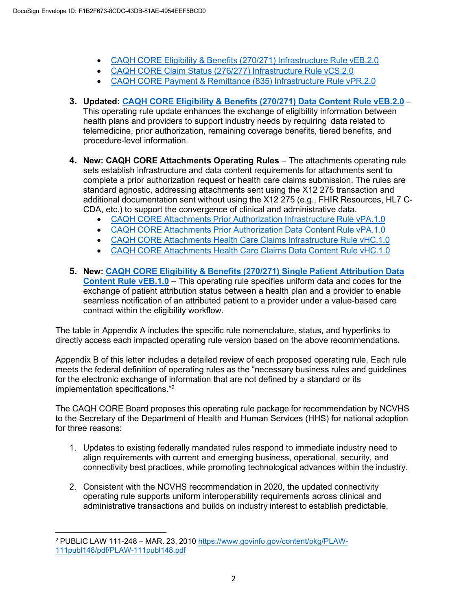- CAQH CORE [Eligibility & Benefits](https://www.caqh.org/sites/default/files/CAQH%20CORE%20Eligibility%20%20Benefit%20%28270_271%29%20Infrastructure%20Rule%20vEB.2.0.pdf) (270/271) Infrastructure Rule vEB.2.0
- CAQH CORE Claim Status (276/277) [Infrastructure](https://www.caqh.org/sites/default/files/CAQH%20CORE%20Claim%20Status%20%28276_277%29%20Infrastructure%20Rule%20vCS2.0.pdf) Rule vCS.2.0
- CAQH CORE [Payment & Remittance](https://www.caqh.org/sites/default/files/CAQH%20CORE%20Payment%20%20Remittance%20%28835%29%20Infrastructure%20Rule%20vPR2.0.pdf) (835) Infrastructure Rule vPR.2.0
- **3. Updated: CAQH CORE [Eligibility & Benefits](https://www.caqh.org/sites/default/files/CAQH%20CORE%20Eligibility%20Benefits%20%28270_271%29%20Data%20Content%20Rule%20vEB2.0.pdf) (270/271) Data Content Rule vEB.2.0** This operating rule update enhances the exchange of eligibility information between health plans and providers to support industry needs by requiring data related to telemedicine, prior authorization, remaining coverage benefits, tiered benefits, and procedure-level information.
- **4. New: CAQH CORE Attachments Operating Rules**  The attachments operating rule sets establish infrastructure and data content requirements for attachments sent to complete a prior authorization request or health care claims submission. The rules are standard agnostic, addressing attachments sent using the X12 275 transaction and additional documentation sent without using the X12 275 (e.g., FHIR Resources, HL7 C-CDA, etc.) to support the convergence of clinical and administrative data.
	- CAQH CORE Attachments Prior Authorization [Infrastructure](https://www.caqh.org/sites/default/files/CAQH%20CORE%20Attachments%20PA%20Infrastructure%20Rule%20vPA.1.0.pdf) Rule vPA.1.0
	- CAQH CORE Attachments Prior [Authorization](https://www.caqh.org/sites/default/files/CAQH%20CORE%20Attachments%20PA%20Data%20Content%20Rule%20vPA.1.0.pdf) Data Content Rule vPA.1.0
	- CAQH CORE Attachments Health Care Claims [Infrastructure](https://www.caqh.org/sites/default/files/CAQH%20CORE%20Attachments%20Claims%20Infrastructure%20Rule%20vHC.1.0.pdf) Rule vHC.1.0
	- CAQH CORE [Attachments](https://www.caqh.org/sites/default/files/CAQH%20CORE%20Attachments%20Claims%20Data%20Content%20Rule%20vHC.1.0.pdf) Health Care Claims Data Content Rule vHC.1.0
- **5. New: CAQH CORE Eligibility & Benefits (270/271) Single [Patient Attribution Data](https://www.caqh.org/sites/default/files/core/CAQH%20CORE%20Eligibility%20Benefits%20270_271%20Single%20Patient%20Attribution%20Data%20Rule%20vEB.1.0.pdf) [Content Rule vEB.1.0](https://www.caqh.org/sites/default/files/core/CAQH%20CORE%20Eligibility%20Benefits%20270_271%20Single%20Patient%20Attribution%20Data%20Rule%20vEB.1.0.pdf)** – This operating rule specifies uniform data and codes for the exchange of patient attribution status between a health plan and a provider to enable seamless notification of an attributed patient to a provider under a value-based care contract within the eligibility workflow.

The table in Appendix A includes the specific rule nomenclature, status, and hyperlinks to directly access each impacted operating rule version based on the above recommendations.

Appendix B of this letter includes a detailed review of each proposed operating rule. Each rule meets the federal definition of operating rules as the "necessary business rules and guidelines for the electronic exchange of information that are not defined by a standard or its implementation specifications."2

The CAQH CORE Board proposes this operating rule package for recommendation by NCVHS to the Secretary of the Department of Health and Human Services (HHS) for national adoption for three reasons:

- 1. Updates to existing federally mandated rules respond to immediate industry need to align requirements with current and emerging business, operational, security, and connectivity best practices, while promoting technological advances within the industry.
- 2. Consistent with the NCVHS recommendation in 2020, the updated connectivity operating rule supports uniform interoperability requirements across clinical and administrative transactions and builds on industry interest to establish predictable,

<sup>2</sup> PUBLIC LAW 111-248 – MAR. 23, 2010 [https://www.govinfo.gov/content/pkg/PLAW-](https://www.govinfo.gov/content/pkg/PLAW-111publ148/pdf/PLAW-111publ148.pdf)[111publ148/pdf/PLAW-111publ148.pdf](https://www.govinfo.gov/content/pkg/PLAW-111publ148/pdf/PLAW-111publ148.pdf)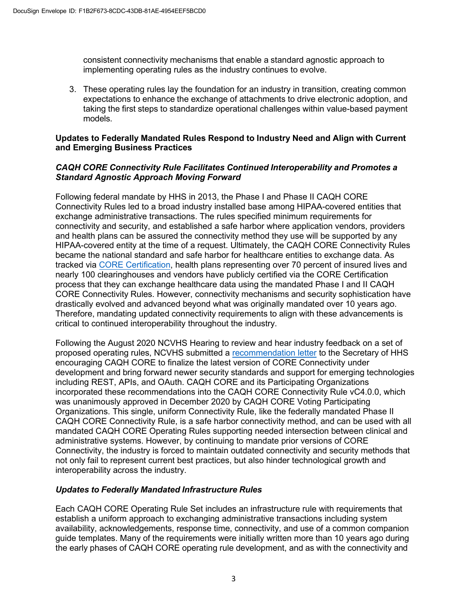consistent connectivity mechanisms that enable a standard agnostic approach to implementing operating rules as the industry continues to evolve.

3. These operating rules lay the foundation for an industry in transition, creating common expectations to enhance the exchange of attachments to drive electronic adoption, and taking the first steps to standardize operational challenges within value-based payment models.

#### **Updates to Federally Mandated Rules Respond to Industry Need and Align with Current and Emerging Business Practices**

### *CAQH CORE Connectivity Rule Facilitates Continued Interoperability and Promotes a Standard Agnostic Approach Moving Forward*

Following federal mandate by HHS in 2013, the Phase I and Phase II CAQH CORE Connectivity Rules led to a broad industry installed base among HIPAA-covered entities that exchange administrative transactions. The rules specified minimum requirements for connectivity and security, and established a safe harbor where application vendors, providers and health plans can be assured the connectivity method they use will be supported by any HIPAA-covered entity at the time of a request. Ultimately, the CAQH CORE Connectivity Rules became the national standard and safe harbor for healthcare entities to exchange data. As tracked vi[a CORE Certification,](https://www.caqh.org/core/core-certification) health plans representing over 70 percent of insured lives and nearly 100 clearinghouses and vendors have publicly certified via the CORE Certification process that they can exchange healthcare data using the mandated Phase I and II CAQH CORE Connectivity Rules. However, connectivity mechanisms and security sophistication have drastically evolved and advanced beyond what was originally mandated over 10 years ago. Therefore, mandating updated connectivity requirements to align with these advancements is critical to continued interoperability throughout the industry.

Following the August 2020 NCVHS Hearing to review and hear industry feedback on a set of proposed operating rules, NCVHS submitted [a recommendation letter](https://ncvhs.hhs.gov/wp-content/uploads/2020/11/NCVHS-recommendations-on-Operating-Rules-FINAL-11-24-2020-508.pdf) to the Secretary of HHS encouraging CAQH CORE to finalize the latest version of CORE Connectivity under development and bring forward newer security standards and support for emerging technologies including REST, APIs, and OAuth. CAQH CORE and its Participating Organizations incorporated these recommendations into the CAQH CORE Connectivity Rule vC4.0.0, which was unanimously approved in December 2020 by CAQH CORE Voting Participating Organizations. This single, uniform Connectivity Rule, like the federally mandated Phase II CAQH CORE Connectivity Rule, is a safe harbor connectivity method, and can be used with all mandated CAQH CORE Operating Rules supporting needed intersection between clinical and administrative systems. However, by continuing to mandate prior versions of CORE Connectivity, the industry is forced to maintain outdated connectivity and security methods that not only fail to represent current best practices, but also hinder technological growth and interoperability across the industry.

### *Updates to Federally Mandated Infrastructure Rules*

Each CAQH CORE Operating Rule Set includes an infrastructure rule with requirements that establish a uniform approach to exchanging administrative transactions including system availability, acknowledgements, response time, connectivity, and use of a common companion guide templates. Many of the requirements were initially written more than 10 years ago during the early phases of CAQH CORE operating rule development, and as with the connectivity and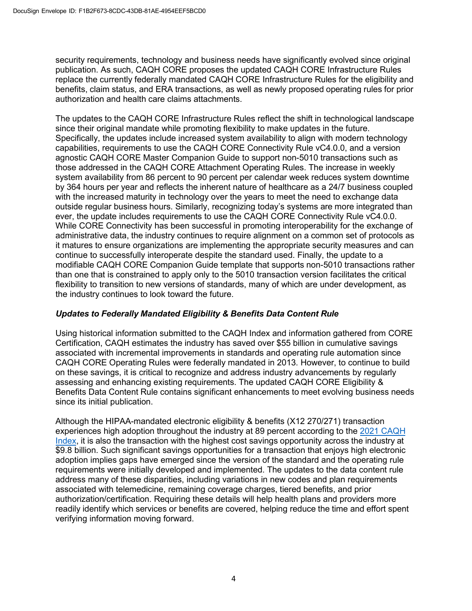security requirements, technology and business needs have significantly evolved since original publication. As such, CAQH CORE proposes the updated CAQH CORE Infrastructure Rules replace the currently federally mandated CAQH CORE Infrastructure Rules for the eligibility and benefits, claim status, and ERA transactions, as well as newly proposed operating rules for prior authorization and health care claims attachments.

The updates to the CAQH CORE Infrastructure Rules reflect the shift in technological landscape since their original mandate while promoting flexibility to make updates in the future. Specifically, the updates include increased system availability to align with modern technology capabilities, requirements to use the CAQH CORE Connectivity Rule vC4.0.0, and a version agnostic CAQH CORE Master Companion Guide to support non-5010 transactions such as those addressed in the CAQH CORE Attachment Operating Rules. The increase in weekly system availability from 86 percent to 90 percent per calendar week reduces system downtime by 364 hours per year and reflects the inherent nature of healthcare as a 24/7 business coupled with the increased maturity in technology over the years to meet the need to exchange data outside regular business hours. Similarly, recognizing today's systems are more integrated than ever, the update includes requirements to use the CAQH CORE Connectivity Rule vC4.0.0. While CORE Connectivity has been successful in promoting interoperability for the exchange of administrative data, the industry continues to require alignment on a common set of protocols as it matures to ensure organizations are implementing the appropriate security measures and can continue to successfully interoperate despite the standard used. Finally, the update to a modifiable CAQH CORE Companion Guide template that supports non-5010 transactions rather than one that is constrained to apply only to the 5010 transaction version facilitates the critical flexibility to transition to new versions of standards, many of which are under development, as the industry continues to look toward the future.

## *Updates to Federally Mandated Eligibility & Benefits Data Content Rule*

Using historical information submitted to the CAQH Index and information gathered from CORE Certification, CAQH estimates the industry has saved over \$55 billion in cumulative savings associated with incremental improvements in standards and operating rule automation since CAQH CORE Operating Rules were federally mandated in 2013. However, to continue to build on these savings, it is critical to recognize and address industry advancements by regularly assessing and enhancing existing requirements. The updated CAQH CORE Eligibility & Benefits Data Content Rule contains significant enhancements to meet evolving business needs since its initial publication.

Although the HIPAA-mandated electronic eligibility & benefits (X12 270/271) transaction experiences high adoption throughout the industry at 89 percent according to the 2021 [CAQH](https://www.caqh.org/sites/default/files/explorations/index/2021-caqh-index.pdf) [Index,](https://www.caqh.org/sites/default/files/explorations/index/2021-caqh-index.pdf) it is also the transaction with the highest cost savings opportunity across the industry at \$9.8 billion. Such significant savings opportunities for a transaction that enjoys high electronic adoption implies gaps have emerged since the version of the standard and the operating rule requirements were initially developed and implemented. The updates to the data content rule address many of these disparities, including variations in new codes and plan requirements associated with telemedicine, remaining coverage charges, tiered benefits, and prior authorization/certification. Requiring these details will help health plans and providers more readily identify which services or benefits are covered, helping reduce the time and effort spent verifying information moving forward.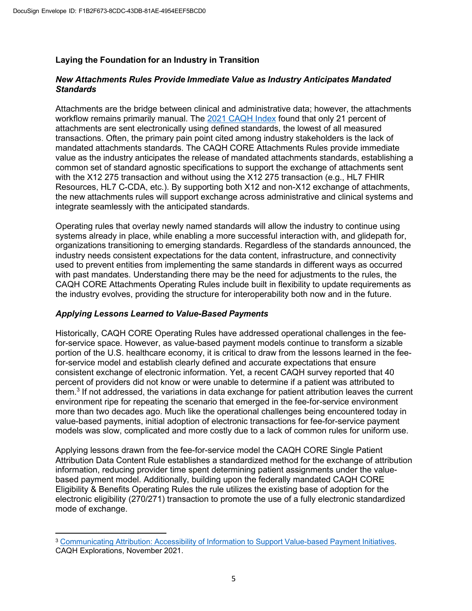## **Laying the Foundation for an Industry in Transition**

### *New Attachments Rules Provide Immediate Value as Industry Anticipates Mandated Standards*

Attachments are the bridge between clinical and administrative data; however, the attachments workflow remains primarily manual. The [2021 CAQH Index](https://www.caqh.org/sites/default/files/explorations/index/2021-caqh-index.pdf) found that only 21 percent of attachments are sent electronically using defined standards, the lowest of all measured transactions. Often, the primary pain point cited among industry stakeholders is the lack of mandated attachments standards. The CAQH CORE Attachments Rules provide immediate value as the industry anticipates the release of mandated attachments standards, establishing a common set of standard agnostic specifications to support the exchange of attachments sent with the X12 275 transaction and without using the X12 275 transaction (e.g., HL7 FHIR Resources, HL7 C-CDA, etc.). By supporting both X12 and non-X12 exchange of attachments, the new attachments rules will support exchange across administrative and clinical systems and integrate seamlessly with the anticipated standards.

Operating rules that overlay newly named standards will allow the industry to continue using systems already in place, while enabling a more successful interaction with, and glidepath for, organizations transitioning to emerging standards. Regardless of the standards announced, the industry needs consistent expectations for the data content, infrastructure, and connectivity used to prevent entities from implementing the same standards in different ways as occurred with past mandates. Understanding there may be the need for adjustments to the rules, the CAQH CORE Attachments Operating Rules include built in flexibility to update requirements as the industry evolves, providing the structure for interoperability both now and in the future.

### *Applying Lessons Learned to Value-Based Payments*

Historically, CAQH CORE Operating Rules have addressed operational challenges in the feefor-service space. However, as value-based payment models continue to transform a sizable portion of the U.S. healthcare economy, it is critical to draw from the lessons learned in the feefor-service model and establish clearly defined and accurate expectations that ensure consistent exchange of electronic information. Yet, a recent CAQH survey reported that 40 percent of providers did not know or were unable to determine if a patient was attributed to them.3 If not addressed, the variations in data exchange for patient attribution leaves the current environment ripe for repeating the scenario that emerged in the fee-for-service environment more than two decades ago. Much like the operational challenges being encountered today in value-based payments, initial adoption of electronic transactions for fee-for-service payment models was slow, complicated and more costly due to a lack of common rules for uniform use.

Applying lessons drawn from the fee-for-service model the CAQH CORE Single Patient Attribution Data Content Rule establishes a standardized method for the exchange of attribution information, reducing provider time spent determining patient assignments under the valuebased payment model. Additionally, building upon the federally mandated CAQH CORE Eligibility & Benefits Operating Rules the rule utilizes the existing base of adoption for the electronic eligibility (270/271) transaction to promote the use of a fully electronic standardized mode of exchange.

<sup>3</sup> [Communicating](https://www.caqh.org/sites/default/files/provider-attribution-issue-brief.pdf) Attribution: Accessibility of Information to Support Value-based Payment Initiatives. CAQH Explorations, November 2021.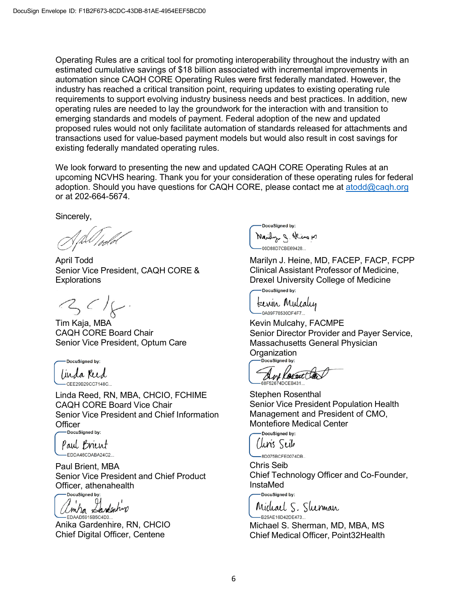Operating Rules are a critical tool for promoting interoperability throughout the industry with an estimated cumulative savings of \$18 billion associated with incremental improvements in automation since CAQH CORE Operating Rules were first federally mandated. However, the industry has reached a critical transition point, requiring updates to existing operating rule requirements to support evolving industry business needs and best practices. In addition, new operating rules are needed to lay the groundwork for the interaction with and transition to emerging standards and models of payment. Federal adoption of the new and updated proposed rules would not only facilitate automation of standards released for attachments and transactions used for value-based payment models but would also result in cost savings for existing federally mandated operating rules.

We look forward to presenting the new and updated CAQH CORE Operating Rules at an upcoming NCVHS hearing. Thank you for your consideration of these operating rules for federal adoption. Should you have questions for CAQH CORE, please contact me at [atodd@caqh.org](mailto:atodd@caqh.org) or at 202-664-5674.

Sincerely,

April Todd Senior Vice President, CAQH CORE & **Explorations** 

 $3c1$ 

Tim Kaja, MBA CAQH CORE Board Chair Senior Vice President, Optum Care

DocuSigned by: linda Reed CEE29B29CC7148C.

Linda Reed, RN, MBA, CHCIO, FCHIME CAQH CORE Board Vice Chair Senior Vice President and Chief Information Officer<br>
DocuSigned by:

Paul Brient EDDA46CDABA24C2...

Paul Brient, MBA Senior Vice President and Chief Product Officer, athenahealth

Emba Landenhiro EDAAD5915B5C4D3.

Anika Gardenhire, RN, CHCIO Chief Digital Officer, Centene

DocuSianed by: Maily g. Heins M -00D88D7CBE69428...

Marilyn J. Heine, MD, FACEP, FACP, FCPP Clinical Assistant Professor of Medicine, Drexel University College of Medicine

-DocuSigned by:

terrin Mulcaly  $-0A09F78530DF4F7$ 

Kevin Mulcahy, FACMPE Senior Director Provider and Payer Service, Massachusetts General Physician Organization

And Resent to

Stephen Rosenthal Senior Vice President Population Health Management and President of CMO, Montefiore Medical Center

-DocuSigned by: *(luris Seib* 

-8D075BCFE0074DB...

Chris Seib Chief Technology Officer and Co-Founder, InstaMed -DocuSigned by:

Michael S. Sherman

-B25AE16D42DE473... Michael S. Sherman, MD, MBA, MS Chief Medical Officer, Point32Health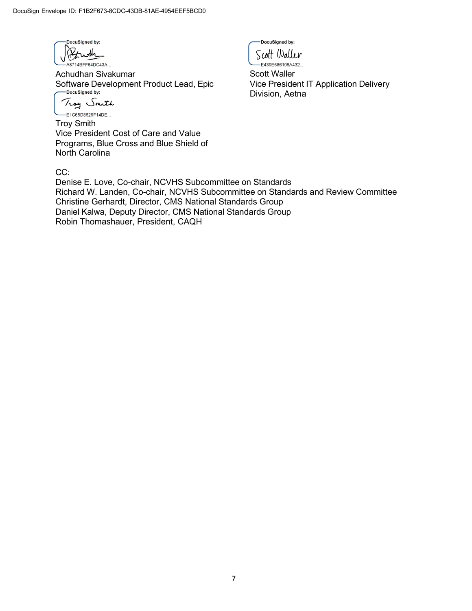

Achudhan Sivakumar Software Development Product Lead, Epic<br> **Condenstrate by:** 

Troy Smith

-E1C65D3629F14DE... Troy Smith Vice President Cost of Care and Value Programs, Blue Cross and Blue Shield of North Carolina

CC:

Denise E. Love, Co-chair, NCVHS Subcommittee on Standards Richard W. Landen, Co-chair, NCVHS Subcommittee on Standards and Review Committee Christine Gerhardt, Director, CMS National Standards Group Daniel Kalwa, Deputy Director, CMS National Standards Group Robin Thomashauer, President, CAQH

DocuSianed by: Scott Waller .<br>-E439E586196A432...

Scott Waller Vice President IT Application Delivery Division, Aetna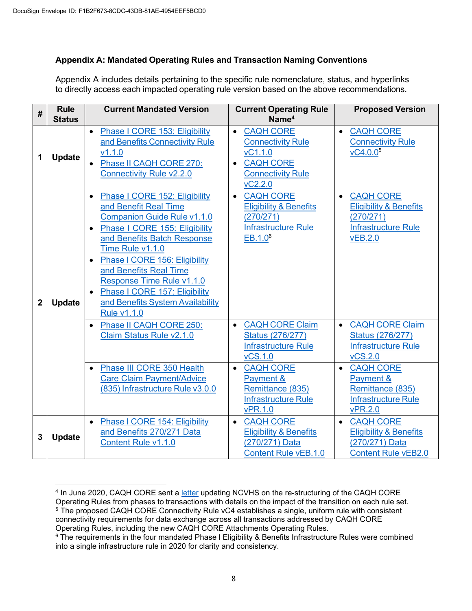## **Appendix A: Mandated Operating Rules and Transaction Naming Conventions**

Appendix A includes details pertaining to the specific rule nomenclature, status, and hyperlinks to directly access each impacted operating rule version based on the above recommendations.

| #              | <b>Rule</b><br><b>Status</b> | <b>Current Mandated Version</b>                                                                                                                                                                                                                                                                                                                                                                                  | <b>Current Operating Rule</b><br>Name <sup>4</sup>                                                                                           | <b>Proposed Version</b>                                                                                                         |
|----------------|------------------------------|------------------------------------------------------------------------------------------------------------------------------------------------------------------------------------------------------------------------------------------------------------------------------------------------------------------------------------------------------------------------------------------------------------------|----------------------------------------------------------------------------------------------------------------------------------------------|---------------------------------------------------------------------------------------------------------------------------------|
| 1              | <b>Update</b>                | Phase I CORE 153: Eligibility<br>$\bullet$<br>and Benefits Connectivity Rule<br>V1.1.0<br>Phase II CAQH CORE 270:<br><b>Connectivity Rule v2.2.0</b>                                                                                                                                                                                                                                                             | <b>CAQH CORE</b><br>$\bullet$<br><b>Connectivity Rule</b><br>vC1.1.0<br><b>CAQH CORE</b><br>$\bullet$<br><b>Connectivity Rule</b><br>VC2.2.0 | <b>CAQH CORE</b><br>$\bullet$<br><b>Connectivity Rule</b><br>vC4.0.05                                                           |
| $\overline{2}$ | <b>Update</b>                | Phase I CORE 152: Eligibility<br>$\bullet$<br>and Benefit Real Time<br><b>Companion Guide Rule v1.1.0</b><br>Phase I CORE 155: Eligibility<br>$\bullet$<br>and Benefits Batch Response<br>Time Rule v1.1.0<br>Phase   CORE 156: Eligibility<br>$\bullet$<br>and Benefits Real Time<br>Response Time Rule v1.1.0<br>Phase I CORE 157: Eligibility<br>$\bullet$<br>and Benefits System Availability<br>Rule v1.1.0 | <b>CAQH CORE</b><br>$\bullet$<br><b>Eligibility &amp; Benefits</b><br>(270/271)<br><b>Infrastructure Rule</b><br>EB.1.0 <sup>6</sup>         | <b>CAQH CORE</b><br>$\bullet$<br><b>Eligibility &amp; Benefits</b><br>(270/271)<br><b>Infrastructure Rule</b><br><b>vEB.2.0</b> |
|                |                              | Phase II CAQH CORE 250:<br>$\bullet$<br>Claim Status Rule v2.1.0                                                                                                                                                                                                                                                                                                                                                 | <b>CAQH CORE Claim</b><br>$\bullet$<br><b>Status (276/277)</b><br>Infrastructure Rule<br><b>vCS.1.0</b>                                      | <b>CAQH CORE Claim</b><br>$\bullet$<br><b>Status (276/277)</b><br><b>Infrastructure Rule</b><br><b>vCS.2.0</b>                  |
|                |                              | Phase III CORE 350 Health<br><b>Care Claim Payment/Advice</b><br>(835) Infrastructure Rule v3.0.0                                                                                                                                                                                                                                                                                                                | <b>CAQH CORE</b><br>$\bullet$<br>Payment &<br>Remittance (835)<br><b>Infrastructure Rule</b><br><b>vPR.1.0</b>                               | <b>CAQH CORE</b><br>$\bullet$<br>Payment &<br>Remittance (835)<br><b>Infrastructure Rule</b><br><b>vPR.2.0</b>                  |
| 3              | <b>Update</b>                | Phase I CORE 154: Eligibility<br>$\bullet$<br>and Benefits 270/271 Data<br>Content Rule v1.1.0                                                                                                                                                                                                                                                                                                                   | <b>CAQH CORE</b><br>$\bullet$<br><b>Eligibility &amp; Benefits</b><br>(270/271) Data<br><b>Content Rule vEB.1.0</b>                          | <b>CAQH CORE</b><br>$\bullet$<br><b>Eligibility &amp; Benefits</b><br>(270/271) Data<br><b>Content Rule vEB2.0</b>              |

<sup>4</sup> In June 2020, CAQH CORE sent a [letter](https://www.caqh.org/sites/default/files/core/CAQH_CORE_NCVHS_Update_Letter_6.26.20.pdf?token=1IIibqAN) updating NCVHS on the re-structuring of the CAQH CORE Operating Rules from phases to transactions with details on the impact of the transition on each rule set. <sup>5</sup> The proposed CAQH CORE Connectivity Rule vC4 establishes a single, uniform rule with consistent connectivity requirements for data exchange across all transactions addressed by CAQH CORE Operating Rules, including the new CAQH CORE Attachments Operating Rules.

<sup>&</sup>lt;sup>6</sup> The requirements in the four mandated Phase I Eligibility & Benefits Infrastructure Rules were combined into a single infrastructure rule in 2020 for clarity and consistency.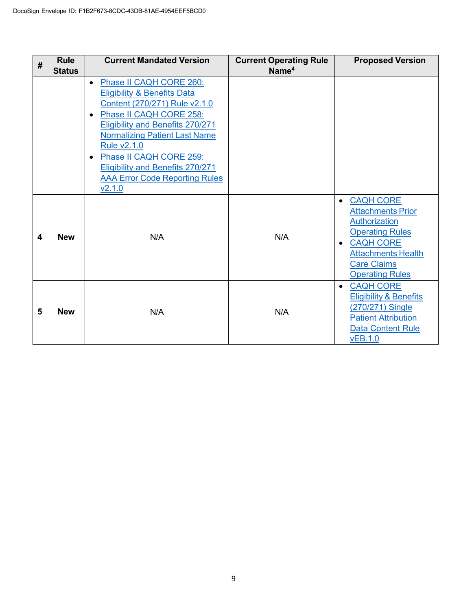| #                       | <b>Rule</b><br><b>Status</b> | <b>Current Mandated Version</b>                                                                                                                                                                                                                                                                                                                                                                        | <b>Current Operating Rule</b><br>Name <sup>4</sup> | <b>Proposed Version</b>                                                                                                                                                                                    |
|-------------------------|------------------------------|--------------------------------------------------------------------------------------------------------------------------------------------------------------------------------------------------------------------------------------------------------------------------------------------------------------------------------------------------------------------------------------------------------|----------------------------------------------------|------------------------------------------------------------------------------------------------------------------------------------------------------------------------------------------------------------|
|                         |                              | Phase II CAQH CORE 260:<br>$\bullet$<br><b>Eligibility &amp; Benefits Data</b><br>Content (270/271) Rule v2.1.0<br>Phase II CAQH CORE 258:<br>$\bullet$<br><b>Eligibility and Benefits 270/271</b><br><b>Normalizing Patient Last Name</b><br><b>Rule v2.1.0</b><br>Phase II CAQH CORE 259:<br>$\bullet$<br><b>Eligibility and Benefits 270/271</b><br><b>AAA Error Code Reporting Rules</b><br>V2.1.0 |                                                    |                                                                                                                                                                                                            |
| $\overline{\mathbf{4}}$ | <b>New</b>                   | N/A                                                                                                                                                                                                                                                                                                                                                                                                    | N/A                                                | <b>CAQH CORE</b><br>$\bullet$<br><b>Attachments Prior</b><br>Authorization<br><b>Operating Rules</b><br><b>CAQH CORE</b><br>٠<br><b>Attachments Health</b><br><b>Care Claims</b><br><b>Operating Rules</b> |
| 5                       | <b>New</b>                   | N/A                                                                                                                                                                                                                                                                                                                                                                                                    | N/A                                                | <b>CAQH CORE</b><br>$\bullet$<br><b>Eligibility &amp; Benefits</b><br>(270/271) Single<br><b>Patient Attribution</b><br>Data Content Rule<br><b>vEB.1.0</b>                                                |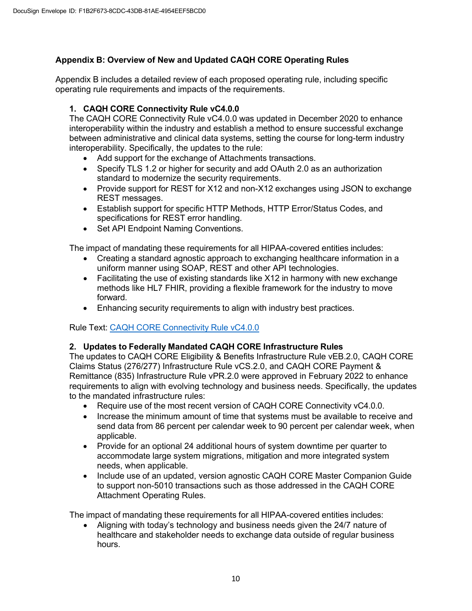# **Appendix B: Overview of New and Updated CAQH CORE Operating Rules**

Appendix B includes a detailed review of each proposed operating rule, including specific operating rule requirements and impacts of the requirements.

## **1. CAQH CORE Connectivity Rule vC4.0.0**

The CAQH CORE Connectivity Rule vC4.0.0 was updated in December 2020 to enhance interoperability within the industry and establish a method to ensure successful exchange between administrative and clinical data systems, setting the course for long-term industry interoperability. Specifically, the updates to the rule:

- Add support for the exchange of Attachments transactions.
- Specify TLS 1.2 or higher for security and add OAuth 2.0 as an authorization standard to modernize the security requirements.
- Provide support for REST for X12 and non-X12 exchanges using JSON to exchange REST messages.
- Establish support for specific HTTP Methods, HTTP Error/Status Codes, and specifications for REST error handling.
- Set API Endpoint Naming Conventions.

The impact of mandating these requirements for all HIPAA-covered entities includes:

- Creating a standard agnostic approach to exchanging healthcare information in a uniform manner using SOAP, REST and other API technologies.
- Facilitating the use of existing standards like X12 in harmony with new exchange methods like HL7 FHIR, providing a flexible framework for the industry to move forward.
- Enhancing security requirements to align with industry best practices.

Rule Text: CAQH CORE [Connectivity](https://www.caqh.org/sites/default/files/core/CAQH%20CORE%20Connectivity%20Rule%20vC4.0.0_0.pdf) Rule vC4.0.0

### **2. Updates to Federally Mandated CAQH CORE Infrastructure Rules**

The updates to CAQH CORE Eligibility & Benefits Infrastructure Rule vEB.2.0, CAQH CORE Claims Status (276/277) Infrastructure Rule vCS.2.0, and CAQH CORE Payment & Remittance (835) Infrastructure Rule vPR.2.0 were approved in February 2022 to enhance requirements to align with evolving technology and business needs. Specifically, the updates to the mandated infrastructure rules:

- Require use of the most recent version of CAQH CORE Connectivity vC4.0.0.
- Increase the minimum amount of time that systems must be available to receive and send data from 86 percent per calendar week to 90 percent per calendar week, when applicable.
- Provide for an optional 24 additional hours of system downtime per quarter to accommodate large system migrations, mitigation and more integrated system needs, when applicable.
- Include use of an updated, version agnostic CAQH CORE Master Companion Guide to support non-5010 transactions such as those addressed in the CAQH CORE Attachment Operating Rules.

The impact of mandating these requirements for all HIPAA-covered entities includes:

• Aligning with today's technology and business needs given the 24/7 nature of healthcare and stakeholder needs to exchange data outside of regular business hours.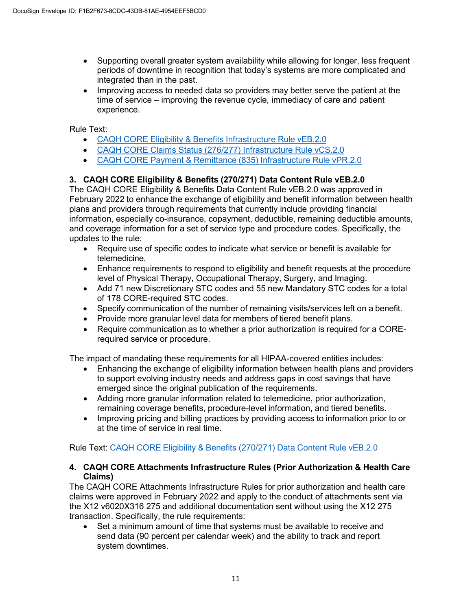- Supporting overall greater system availability while allowing for longer, less frequent periods of downtime in recognition that today's systems are more complicated and integrated than in the past.
- Improving access to needed data so providers may better serve the patient at the time of service – improving the revenue cycle, immediacy of care and patient experience.

Rule Text:

- CAQH CORE [Eligibility & Benefits](https://www.caqh.org/sites/default/files/CAQH%20CORE%20Eligibility%20%20Benefit%20%28270_271%29%20Infrastructure%20Rule%20vEB.2.0.pdf) Infrastructure Rule vEB.2.0
- CAQH CORE Claims Status (276/277) [Infrastructure](https://www.caqh.org/sites/default/files/CAQH%20CORE%20Claim%20Status%20%28276_277%29%20Infrastructure%20Rule%20vCS2.0.pdf) Rule vCS.2.0
- CAQH CORE [Payment & Remittance](https://www.caqh.org/sites/default/files/CAQH%20CORE%20Payment%20%20Remittance%20%28835%29%20Infrastructure%20Rule%20vPR2.0.pdf) (835) Infrastructure Rule vPR.2.0

## **3. CAQH CORE Eligibility & Benefits (270/271) Data Content Rule vEB.2.0**

The CAQH CORE Eligibility & Benefits Data Content Rule vEB.2.0 was approved in February 2022 to enhance the exchange of eligibility and benefit information between health plans and providers through requirements that currently include providing financial information, especially co-insurance, copayment, deductible, remaining deductible amounts, and coverage information for a set of service type and procedure codes. Specifically, the updates to the rule:

- Require use of specific codes to indicate what service or benefit is available for telemedicine.
- Enhance requirements to respond to eligibility and benefit requests at the procedure level of Physical Therapy, Occupational Therapy, Surgery, and Imaging.
- Add 71 new Discretionary STC codes and 55 new Mandatory STC codes for a total of 178 CORE-required STC codes.
- Specify communication of the number of remaining visits/services left on a benefit.
- Provide more granular level data for members of tiered benefit plans.
- Require communication as to whether a prior authorization is required for a CORErequired service or procedure.

The impact of mandating these requirements for all HIPAA-covered entities includes:

- Enhancing the exchange of eligibility information between health plans and providers to support evolving industry needs and address gaps in cost savings that have emerged since the original publication of the requirements.
- Adding more granular information related to telemedicine, prior authorization, remaining coverage benefits, procedure-level information, and tiered benefits.
- Improving pricing and billing practices by providing access to information prior to or at the time of service in real time.

Rule Text: CAQH CORE [Eligibility & Benefits](https://www.caqh.org/sites/default/files/CAQH%20CORE%20Eligibility%20Benefits%20%28270_271%29%20Data%20Content%20Rule%20vEB2.0.pdf) (270/271) Data Content Rule vEB.2.0

### **4. CAQH CORE Attachments Infrastructure Rules (Prior Authorization & Health Care Claims)**

The CAQH CORE Attachments Infrastructure Rules for prior authorization and health care claims were approved in February 2022 and apply to the conduct of attachments sent via the X12 v6020X316 275 and additional documentation sent without using the X12 275 transaction. Specifically, the rule requirements:

• Set a minimum amount of time that systems must be available to receive and send data (90 percent per calendar week) and the ability to track and report system downtimes.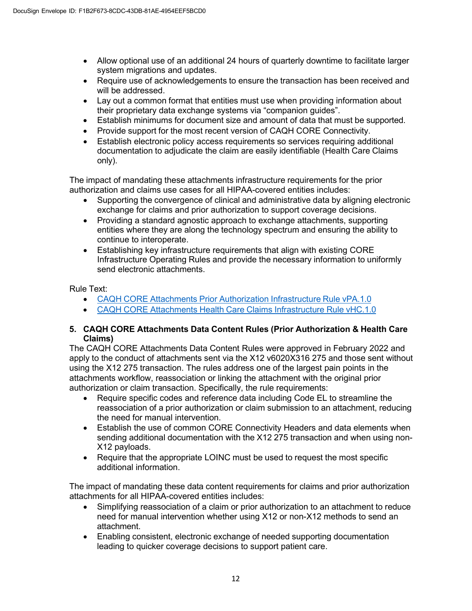- Allow optional use of an additional 24 hours of quarterly downtime to facilitate larger system migrations and updates.
- Require use of acknowledgements to ensure the transaction has been received and will be addressed.
- Lay out a common format that entities must use when providing information about their proprietary data exchange systems via "companion guides".
- Establish minimums for document size and amount of data that must be supported.
- Provide support for the most recent version of CAQH CORE Connectivity.
- Establish electronic policy access requirements so services requiring additional documentation to adjudicate the claim are easily identifiable (Health Care Claims only).

The impact of mandating these attachments infrastructure requirements for the prior authorization and claims use cases for all HIPAA-covered entities includes:

- Supporting the convergence of clinical and administrative data by aligning electronic exchange for claims and prior authorization to support coverage decisions.
- Providing a standard agnostic approach to exchange attachments, supporting entities where they are along the technology spectrum and ensuring the ability to continue to interoperate.
- Establishing key infrastructure requirements that align with existing CORE Infrastructure Operating Rules and provide the necessary information to uniformly send electronic attachments.

Rule Text:

- CAQH CORE Attachments Prior Authorization [Infrastructure](https://www.caqh.org/sites/default/files/CAQH%20CORE%20Attachments%20PA%20Infrastructure%20Rule%20vPA.1.0.pdf) Rule vPA.1.0
- CAQH CORE Attachments Health Care Claims [Infrastructure](https://www.caqh.org/sites/default/files/CAQH%20CORE%20Attachments%20Claims%20Infrastructure%20Rule%20vHC.1.0.pdf) Rule vHC.1.0

### **5. CAQH CORE Attachments Data Content Rules (Prior Authorization & Health Care Claims)**

The CAQH CORE Attachments Data Content Rules were approved in February 2022 and apply to the conduct of attachments sent via the X12 v6020X316 275 and those sent without using the X12 275 transaction. The rules address one of the largest pain points in the attachments workflow, reassociation or linking the attachment with the original prior authorization or claim transaction. Specifically, the rule requirements:

- Require specific codes and reference data including Code EL to streamline the reassociation of a prior authorization or claim submission to an attachment, reducing the need for manual intervention.
- Establish the use of common CORE Connectivity Headers and data elements when sending additional documentation with the X12 275 transaction and when using non-X12 payloads.
- Require that the appropriate LOINC must be used to request the most specific additional information.

The impact of mandating these data content requirements for claims and prior authorization attachments for all HIPAA-covered entities includes:

- Simplifying reassociation of a claim or prior authorization to an attachment to reduce need for manual intervention whether using X12 or non-X12 methods to send an attachment.
- Enabling consistent, electronic exchange of needed supporting documentation leading to quicker coverage decisions to support patient care.